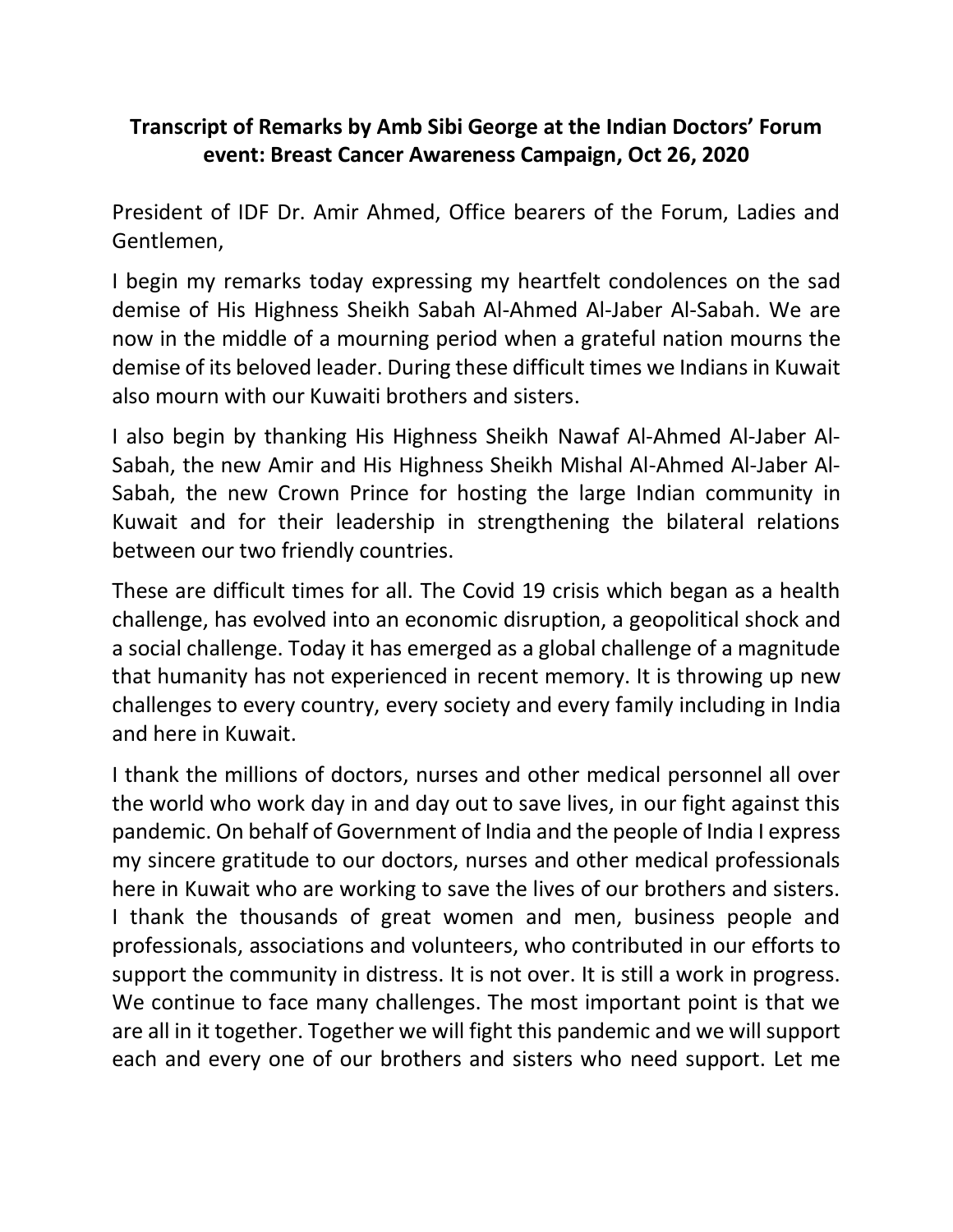## **Transcript of Remarks by Amb Sibi George at the Indian Doctors' Forum event: Breast Cancer Awareness Campaign, Oct 26, 2020**

President of IDF Dr. Amir Ahmed, Office bearers of the Forum, Ladies and Gentlemen,

I begin my remarks today expressing my heartfelt condolences on the sad demise of His Highness Sheikh Sabah Al-Ahmed Al-Jaber Al-Sabah. We are now in the middle of a mourning period when a grateful nation mourns the demise of its beloved leader. During these difficult times we Indians in Kuwait also mourn with our Kuwaiti brothers and sisters.

I also begin by thanking His Highness Sheikh Nawaf Al-Ahmed Al-Jaber Al-Sabah, the new Amir and His Highness Sheikh Mishal Al-Ahmed Al-Jaber Al-Sabah, the new Crown Prince for hosting the large Indian community in Kuwait and for their leadership in strengthening the bilateral relations between our two friendly countries.

These are difficult times for all. The Covid 19 crisis which began as a health challenge, has evolved into an economic disruption, a geopolitical shock and a social challenge. Today it has emerged as a global challenge of a magnitude that humanity has not experienced in recent memory. It is throwing up new challenges to every country, every society and every family including in India and here in Kuwait.

I thank the millions of doctors, nurses and other medical personnel all over the world who work day in and day out to save lives, in our fight against this pandemic. On behalf of Government of India and the people of India I express my sincere gratitude to our doctors, nurses and other medical professionals here in Kuwait who are working to save the lives of our brothers and sisters. I thank the thousands of great women and men, business people and professionals, associations and volunteers, who contributed in our efforts to support the community in distress. It is not over. It is still a work in progress. We continue to face many challenges. The most important point is that we are all in it together. Together we will fight this pandemic and we will support each and every one of our brothers and sisters who need support. Let me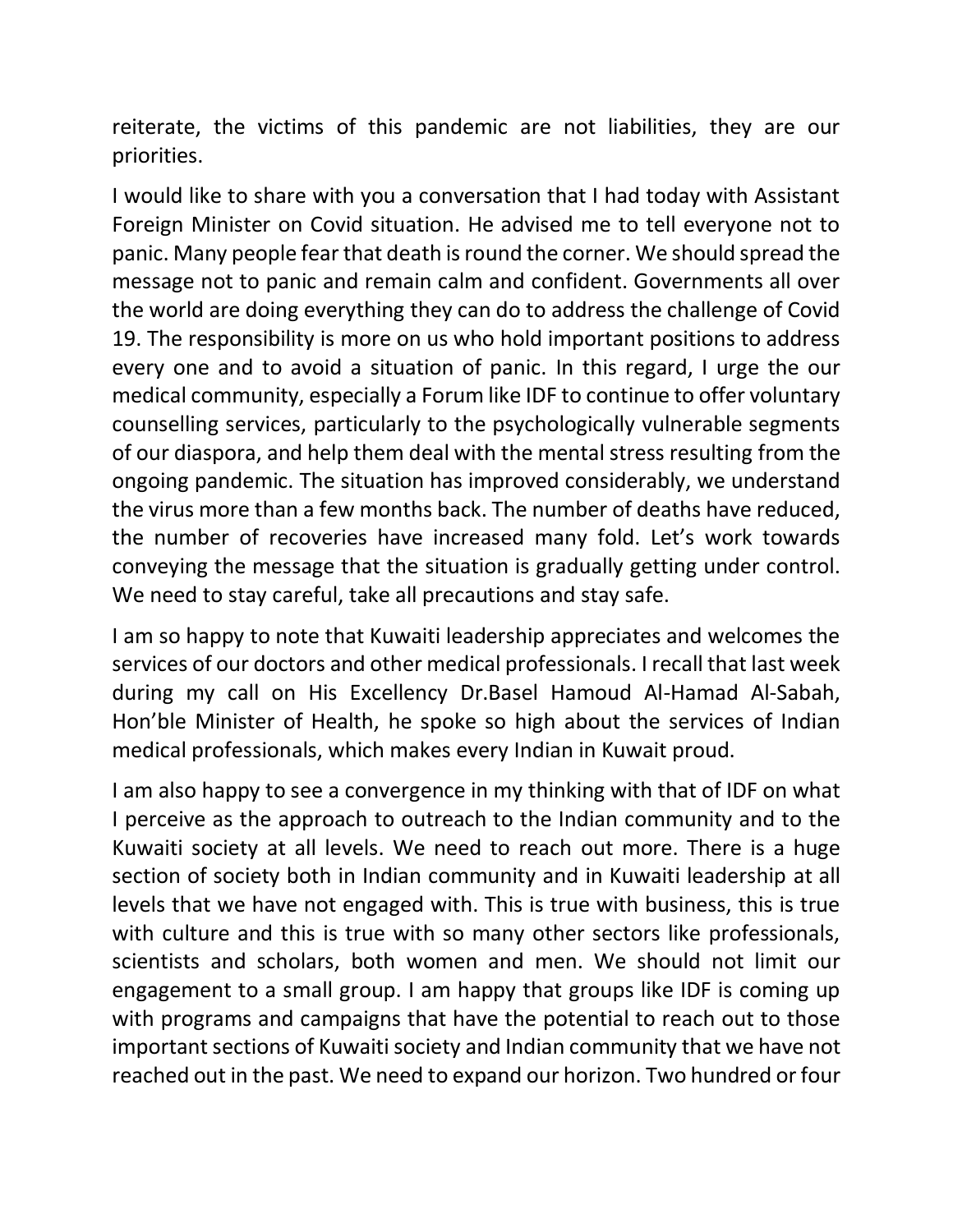reiterate, the victims of this pandemic are not liabilities, they are our priorities.

I would like to share with you a conversation that I had today with Assistant Foreign Minister on Covid situation. He advised me to tell everyone not to panic. Many people fear that death is round the corner. We should spread the message not to panic and remain calm and confident. Governments all over the world are doing everything they can do to address the challenge of Covid 19. The responsibility is more on us who hold important positions to address every one and to avoid a situation of panic. In this regard, I urge the our medical community, especially a Forum like IDF to continue to offer voluntary counselling services, particularly to the psychologically vulnerable segments of our diaspora, and help them deal with the mental stress resulting from the ongoing pandemic. The situation has improved considerably, we understand the virus more than a few months back. The number of deaths have reduced, the number of recoveries have increased many fold. Let's work towards conveying the message that the situation is gradually getting under control. We need to stay careful, take all precautions and stay safe.

I am so happy to note that Kuwaiti leadership appreciates and welcomes the services of our doctors and other medical professionals. I recall that last week during my call on His Excellency Dr.Basel Hamoud Al-Hamad Al-Sabah, Hon'ble Minister of Health, he spoke so high about the services of Indian medical professionals, which makes every Indian in Kuwait proud.

I am also happy to see a convergence in my thinking with that of IDF on what I perceive as the approach to outreach to the Indian community and to the Kuwaiti society at all levels. We need to reach out more. There is a huge section of society both in Indian community and in Kuwaiti leadership at all levels that we have not engaged with. This is true with business, this is true with culture and this is true with so many other sectors like professionals, scientists and scholars, both women and men. We should not limit our engagement to a small group. I am happy that groups like IDF is coming up with programs and campaigns that have the potential to reach out to those important sections of Kuwaiti society and Indian community that we have not reached out in the past. We need to expand our horizon. Two hundred or four